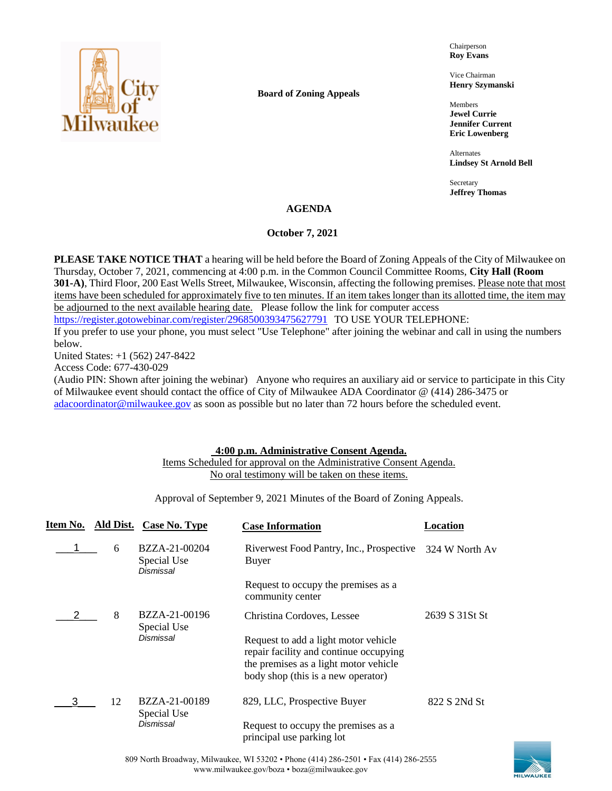

**Board of Zoning Appeals**

Chairperson **Roy Evans**

Vice Chairman **Henry Szymanski**

Members **Jewel Currie Jennifer Current Eric Lowenberg**

Alternates **Lindsey St Arnold Bell**

Secretary **Jeffrey Thomas**

# **AGENDA**

# **October 7, 2021**

**PLEASE TAKE NOTICE THAT** a hearing will be held before the Board of Zoning Appeals of the City of Milwaukee on Thursday, October 7, 2021, commencing at 4:00 p.m. in the Common Council Committee Rooms, **City Hall (Room 301-A)**, Third Floor, 200 East Wells Street, Milwaukee, Wisconsin, affecting the following premises. Please note that most items have been scheduled for approximately five to ten minutes. If an item takes longer than its allotted time, the item may be adjourned to the next available hearing date. Please follow the link for computer access <https://register.gotowebinar.com/register/2968500393475627791> TO USE YOUR TELEPHONE:

If you prefer to use your phone, you must select "Use Telephone" after joining the webinar and call in using the numbers below.

United States: +1 (562) 247-8422

Access Code: 677-430-029

(Audio PIN: Shown after joining the webinar) Anyone who requires an auxiliary aid or service to participate in this City of Milwaukee event should contact the office of City of Milwaukee ADA Coordinator @ (414) 286-3475 or [adacoordinator@milwaukee.gov](mailto:adacoordinator@milwaukee.gov) as soon as possible but no later than 72 hours before the scheduled event.

# **4:00 p.m. Administrative Consent Agenda.**

# Items Scheduled for approval on the Administrative Consent Agenda. No oral testimony will be taken on these items.

Approval of September 9, 2021 Minutes of the Board of Zoning Appeals.

| Item No. | Ald Dist. | Case No. Type                             | <b>Case Information</b>                                                                                                                                       | Location       |
|----------|-----------|-------------------------------------------|---------------------------------------------------------------------------------------------------------------------------------------------------------------|----------------|
|          | 6         | BZZA-21-00204<br>Special Use<br>Dismissal | Riverwest Food Pantry, Inc., Prospective<br>Buyer                                                                                                             | 324 W North Av |
|          |           |                                           | Request to occupy the premises as a<br>community center                                                                                                       |                |
|          | 8         | BZZA-21-00196<br>Special Use              | Christina Cordoves, Lessee                                                                                                                                    | 2639 S 31St St |
|          |           | <b>Dismissal</b>                          | Request to add a light motor vehicle<br>repair facility and continue occupying<br>the premises as a light motor vehicle<br>body shop (this is a new operator) |                |
| З        | 12        | BZZA-21-00189<br>Special Use              | 829, LLC, Prospective Buyer                                                                                                                                   | 822 S 2Nd St   |
|          |           | Dismissal                                 | Request to occupy the premises as a<br>principal use parking lot                                                                                              |                |

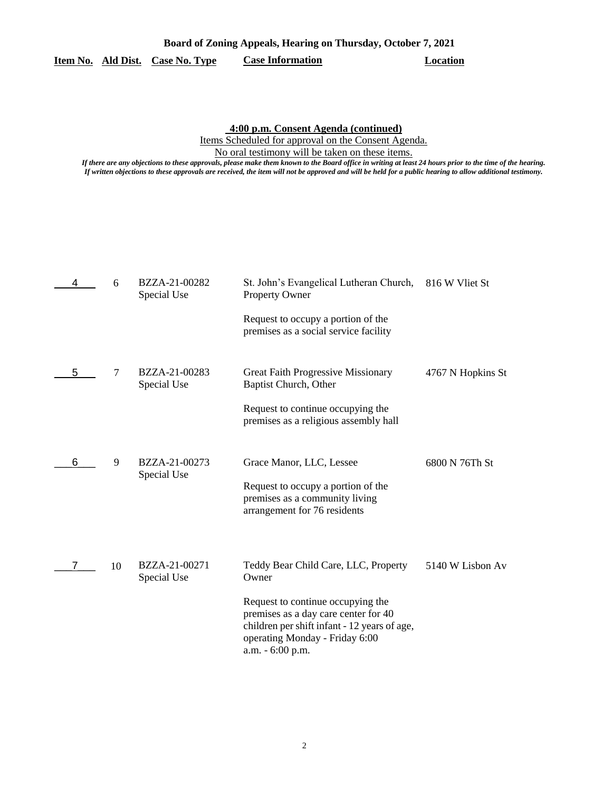# **Board of Zoning Appeals, Hearing on Thursday, October 7, 2021 Item No. Ald Dist. Case No. Type Case Information Location**

**4:00 p.m. Consent Agenda (continued)**

Items Scheduled for approval on the Consent Agenda.

No oral testimony will be taken on these items.

*If there are any objections to these approvals, please make them known to the Board office in writing at least 24 hours prior to the time of the hearing. If written objections to these approvals are received, the item will not be approved and will be held for a public hearing to allow additional testimony.*

|   | 6      | BZZA-21-00282<br>Special Use | St. John's Evangelical Lutheran Church,<br>Property Owner                                                                                                                       | 816 W Vliet St    |
|---|--------|------------------------------|---------------------------------------------------------------------------------------------------------------------------------------------------------------------------------|-------------------|
|   |        |                              | Request to occupy a portion of the<br>premises as a social service facility                                                                                                     |                   |
| 5 | $\tau$ | BZZA-21-00283<br>Special Use | Great Faith Progressive Missionary<br>Baptist Church, Other                                                                                                                     | 4767 N Hopkins St |
|   |        |                              | Request to continue occupying the<br>premises as a religious assembly hall                                                                                                      |                   |
| 6 | 9      | BZZA-21-00273<br>Special Use | Grace Manor, LLC, Lessee<br>Request to occupy a portion of the<br>premises as a community living<br>arrangement for 76 residents                                                | 6800 N 76Th St    |
|   | 10     | BZZA-21-00271<br>Special Use | Teddy Bear Child Care, LLC, Property<br>Owner                                                                                                                                   | 5140 W Lisbon Av  |
|   |        |                              | Request to continue occupying the<br>premises as a day care center for 40<br>children per shift infant - 12 years of age,<br>operating Monday - Friday 6:00<br>a.m. - 6:00 p.m. |                   |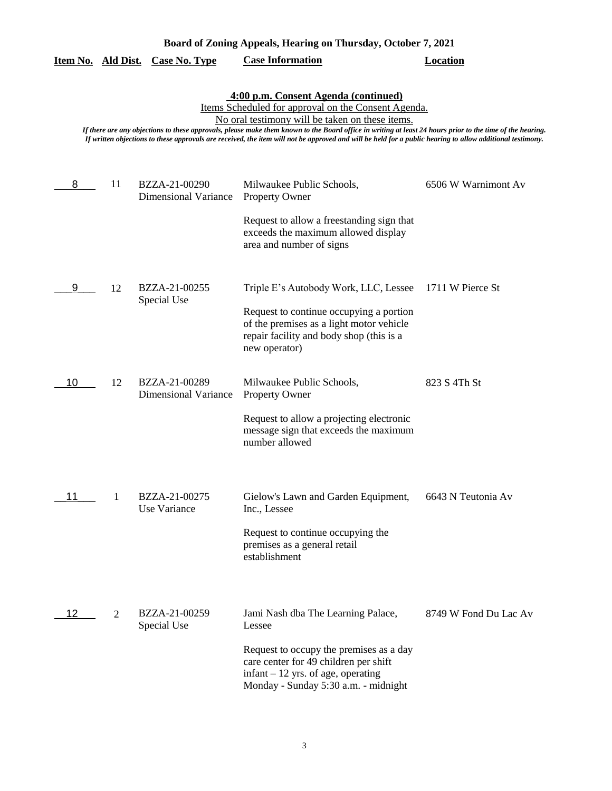| Board of Zoning Appeals, Hearing on Thursday, October 7, 2021 |    |                                              |                                                                                                                                                                                                                                                                                                                                                                                                                                                                          |                       |
|---------------------------------------------------------------|----|----------------------------------------------|--------------------------------------------------------------------------------------------------------------------------------------------------------------------------------------------------------------------------------------------------------------------------------------------------------------------------------------------------------------------------------------------------------------------------------------------------------------------------|-----------------------|
| Item No. Ald Dist.                                            |    | <b>Case No. Type</b>                         | <b>Case Information</b>                                                                                                                                                                                                                                                                                                                                                                                                                                                  | <b>Location</b>       |
|                                                               |    |                                              | 4:00 p.m. Consent Agenda (continued)<br>Items Scheduled for approval on the Consent Agenda.<br>No oral testimony will be taken on these items.<br>If there are any objections to these approvals, please make them known to the Board office in writing at least 24 hours prior to the time of the hearing.<br>If written objections to these approvals are received, the item will not be approved and will be held for a public hearing to allow additional testimony. |                       |
| 8                                                             | 11 | BZZA-21-00290<br><b>Dimensional Variance</b> | Milwaukee Public Schools,<br><b>Property Owner</b>                                                                                                                                                                                                                                                                                                                                                                                                                       | 6506 W Warnimont Av   |
|                                                               |    |                                              | Request to allow a freestanding sign that<br>exceeds the maximum allowed display<br>area and number of signs                                                                                                                                                                                                                                                                                                                                                             |                       |
| 9                                                             | 12 | BZZA-21-00255<br>Special Use                 | Triple E's Autobody Work, LLC, Lessee                                                                                                                                                                                                                                                                                                                                                                                                                                    | 1711 W Pierce St      |
|                                                               |    |                                              | Request to continue occupying a portion<br>of the premises as a light motor vehicle<br>repair facility and body shop (this is a<br>new operator)                                                                                                                                                                                                                                                                                                                         |                       |
| 10                                                            | 12 | BZZA-21-00289<br><b>Dimensional Variance</b> | Milwaukee Public Schools,<br><b>Property Owner</b>                                                                                                                                                                                                                                                                                                                                                                                                                       | 823 S 4Th St          |
|                                                               |    |                                              | Request to allow a projecting electronic<br>message sign that exceeds the maximum<br>number allowed                                                                                                                                                                                                                                                                                                                                                                      |                       |
| 11                                                            | 1  | BZZA-21-00275<br>Use Variance                | Gielow's Lawn and Garden Equipment,<br>Inc., Lessee                                                                                                                                                                                                                                                                                                                                                                                                                      | 6643 N Teutonia Av    |
|                                                               |    |                                              | Request to continue occupying the<br>premises as a general retail<br>establishment                                                                                                                                                                                                                                                                                                                                                                                       |                       |
| 12                                                            | 2  | BZZA-21-00259<br>Special Use                 | Jami Nash dba The Learning Palace,<br>Lessee                                                                                                                                                                                                                                                                                                                                                                                                                             | 8749 W Fond Du Lac Av |
|                                                               |    |                                              | Request to occupy the premises as a day<br>care center for 49 children per shift<br>$infant - 12$ yrs. of age, operating<br>Monday - Sunday 5:30 a.m. - midnight                                                                                                                                                                                                                                                                                                         |                       |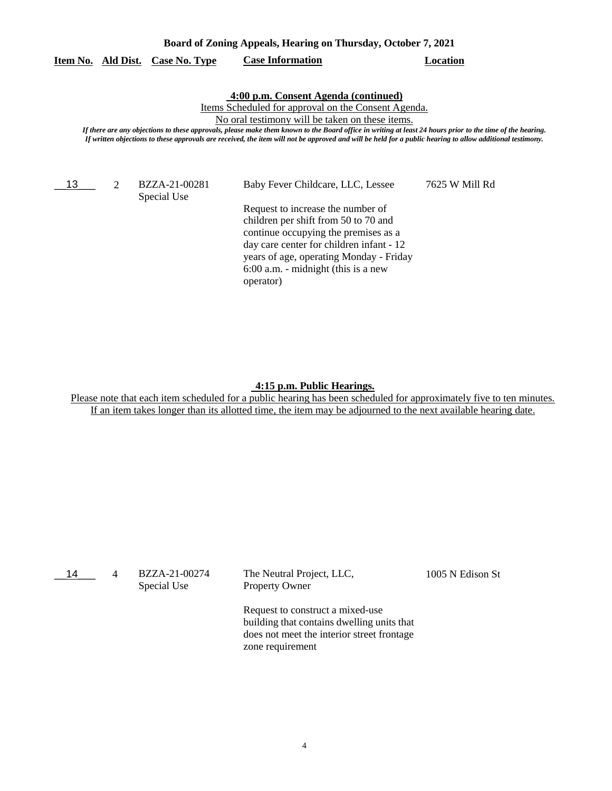| Board of Zoning Appeals, Hearing on Thursday, October 7, 2021 |  |
|---------------------------------------------------------------|--|
|---------------------------------------------------------------|--|

# **Item No. Ald Dist. Case No. Type Case Information Location**

#### **4:00 p.m. Consent Agenda (continued)**

Items Scheduled for approval on the Consent Agenda.

No oral testimony will be taken on these items.

*If there are any objections to these approvals, please make them known to the Board office in writing at least 24 hours prior to the time of the hearing. If written objections to these approvals are received, the item will not be approved and will be held for a public hearing to allow additional testimony.*

13 2

Special Use

BZZA-21-00281 Baby Fever Childcare, LLC, Lessee 7625 W Mill Rd

Request to increase the number of children per shift from 50 to 70 and continue occupying the premises as a day care center for children infant - 12 years of age, operating Monday - Friday 6:00 a.m. - midnight (this is a new operator)

#### **4:15 p.m. Public Hearings.**

| 14 | 4 | BZZA-21-00274<br>Special Use | The Neutral Project, LLC,<br><b>Property Owner</b>                                                                                               | 1005 N Edison St |
|----|---|------------------------------|--------------------------------------------------------------------------------------------------------------------------------------------------|------------------|
|    |   |                              | Request to construct a mixed-use<br>building that contains dwelling units that<br>does not meet the interior street frontage<br>zone requirement |                  |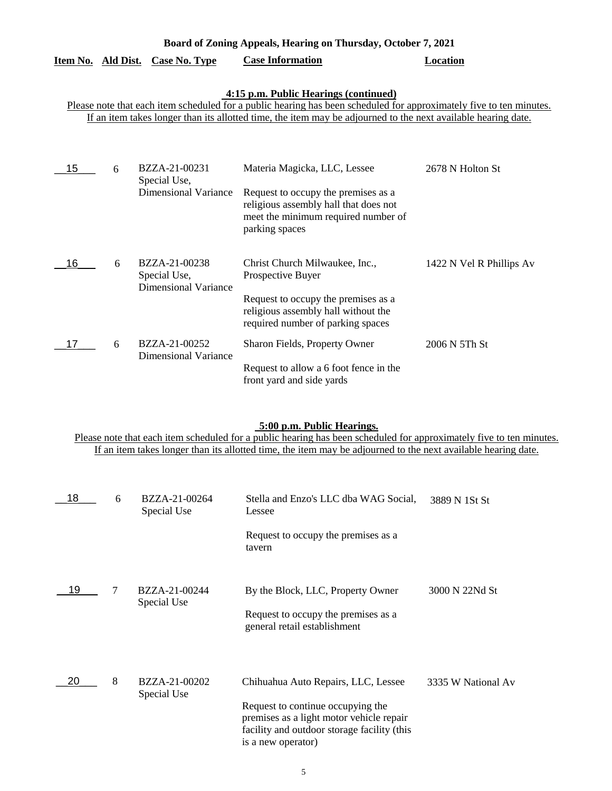|                                                                                                                                                                                                                                                                               |   | Item No. Ald Dist. Case No. Type                             | <b>Case Information</b>                                                                                                                                                | Location                 |  |
|-------------------------------------------------------------------------------------------------------------------------------------------------------------------------------------------------------------------------------------------------------------------------------|---|--------------------------------------------------------------|------------------------------------------------------------------------------------------------------------------------------------------------------------------------|--------------------------|--|
| 4:15 p.m. Public Hearings (continued)<br>Please note that each item scheduled for a public hearing has been scheduled for approximately five to ten minutes.<br>If an item takes longer than its allotted time, the item may be adjourned to the next available hearing date. |   |                                                              |                                                                                                                                                                        |                          |  |
| 15                                                                                                                                                                                                                                                                            | 6 | BZZA-21-00231<br>Special Use,<br><b>Dimensional Variance</b> | Materia Magicka, LLC, Lessee<br>Request to occupy the premises as a<br>religious assembly hall that does not<br>meet the minimum required number of<br>parking spaces  | 2678 N Holton St         |  |
| 16                                                                                                                                                                                                                                                                            | 6 | BZZA-21-00238<br>Special Use,<br><b>Dimensional Variance</b> | Christ Church Milwaukee, Inc.,<br>Prospective Buyer<br>Request to occupy the premises as a<br>religious assembly hall without the<br>required number of parking spaces | 1422 N Vel R Phillips Av |  |
| 17                                                                                                                                                                                                                                                                            | 6 | BZZA-21-00252<br><b>Dimensional Variance</b>                 | Sharon Fields, Property Owner<br>Request to allow a 6 foot fence in the<br>front yard and side yards                                                                   | 2006 N 5Th St            |  |

**Board of Zoning Appeals, Hearing on Thursday, October 7, 2021** 

# **5:00 p.m. Public Hearings.**

| 18 | 6 | BZZA-21-00264<br>Special Use | Stella and Enzo's LLC dba WAG Social,<br>Lessee                                                                                                                                           | 3889 N 1St St      |
|----|---|------------------------------|-------------------------------------------------------------------------------------------------------------------------------------------------------------------------------------------|--------------------|
|    |   |                              | Request to occupy the premises as a<br>tavern                                                                                                                                             |                    |
| 19 | 7 | BZZA-21-00244<br>Special Use | By the Block, LLC, Property Owner<br>Request to occupy the premises as a<br>general retail establishment                                                                                  | 3000 N 22Nd St     |
| 20 | 8 | BZZA-21-00202<br>Special Use | Chihuahua Auto Repairs, LLC, Lessee<br>Request to continue occupying the<br>premises as a light motor vehicle repair<br>facility and outdoor storage facility (this<br>is a new operator) | 3335 W National Av |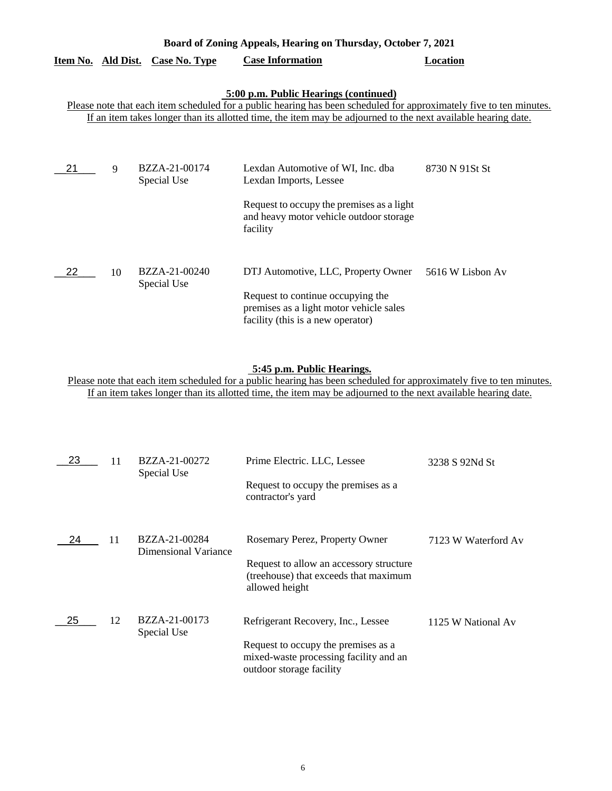| Board of Zoning Appeals, Hearing on Thursday, October 7, 2021 |    |                                         |                                                                                                                                                                                                                                                                               |                  |
|---------------------------------------------------------------|----|-----------------------------------------|-------------------------------------------------------------------------------------------------------------------------------------------------------------------------------------------------------------------------------------------------------------------------------|------------------|
|                                                               |    | <u>Item No. Ald Dist. Case No. Type</u> | <b>Case Information</b>                                                                                                                                                                                                                                                       | <b>Location</b>  |
|                                                               |    |                                         | 5:00 p.m. Public Hearings (continued)<br>Please note that each item scheduled for a public hearing has been scheduled for approximately five to ten minutes.<br>If an item takes longer than its allotted time, the item may be adjourned to the next available hearing date. |                  |
| 21                                                            | 9  | BZZA-21-00174<br>Special Use            | Lexdan Automotive of WI, Inc. dba<br>Lexdan Imports, Lessee<br>Request to occupy the premises as a light<br>and heavy motor vehicle outdoor storage<br>facility                                                                                                               | 8730 N 91St St   |
| 22                                                            | 10 | BZZA-21-00240<br>Special Use            | DTJ Automotive, LLC, Property Owner<br>Request to continue occupying the<br>premises as a light motor vehicle sales<br>facility (this is a new operator)                                                                                                                      | 5616 W Lisbon Av |

# **5:45 p.m. Public Hearings.**

| 23 | 11 | BZZA-21-00272<br>Special Use          | Prime Electric. LLC, Lessee<br>Request to occupy the premises as a<br>contractor's yard                                                         | 3238 S 92Nd St      |
|----|----|---------------------------------------|-------------------------------------------------------------------------------------------------------------------------------------------------|---------------------|
| 24 | 11 | BZZA-21-00284<br>Dimensional Variance | Rosemary Perez, Property Owner<br>Request to allow an accessory structure<br>(treehouse) that exceeds that maximum<br>allowed height            | 7123 W Waterford Av |
| 25 | 12 | BZZA-21-00173<br>Special Use          | Refrigerant Recovery, Inc., Lessee<br>Request to occupy the premises as a<br>mixed-waste processing facility and an<br>outdoor storage facility | 1125 W National Av  |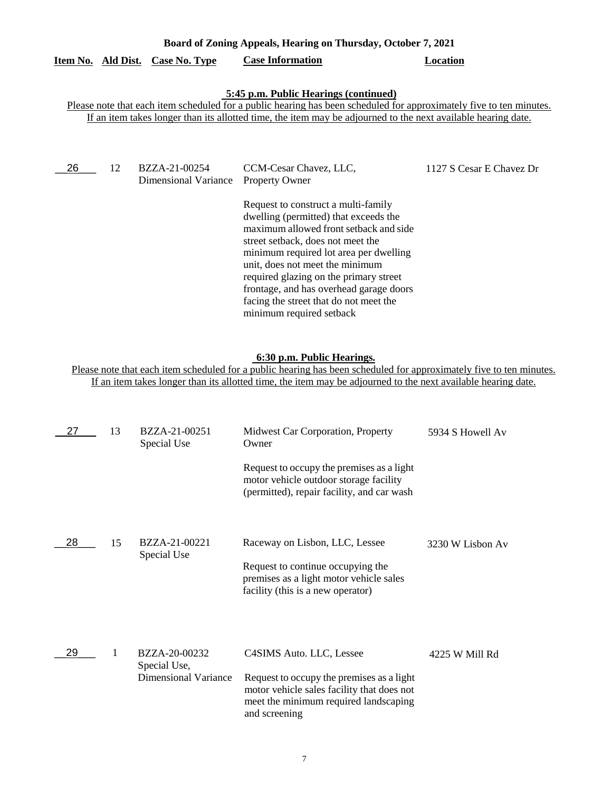| Board of Zoning Appeals, Hearing on Thursday, October 7, 2021 |    |                                         |                                                                                                                                                                                                                                                                                                                                                                                                                                                        |                          |
|---------------------------------------------------------------|----|-----------------------------------------|--------------------------------------------------------------------------------------------------------------------------------------------------------------------------------------------------------------------------------------------------------------------------------------------------------------------------------------------------------------------------------------------------------------------------------------------------------|--------------------------|
|                                                               |    | <u>Item No. Ald Dist. Case No. Type</u> | <b>Case Information</b>                                                                                                                                                                                                                                                                                                                                                                                                                                | Location                 |
|                                                               |    |                                         | 5:45 p.m. Public Hearings (continued)<br>Please note that each item scheduled for a public hearing has been scheduled for approximately five to ten minutes.<br>If an item takes longer than its allotted time, the item may be adjourned to the next available hearing date.                                                                                                                                                                          |                          |
| 26                                                            | 12 | BZZA-21-00254<br>Dimensional Variance   | CCM-Cesar Chavez, LLC,<br><b>Property Owner</b><br>Request to construct a multi-family<br>dwelling (permitted) that exceeds the<br>maximum allowed front setback and side<br>street setback, does not meet the<br>minimum required lot area per dwelling<br>unit, does not meet the minimum<br>required glazing on the primary street<br>frontage, and has overhead garage doors<br>facing the street that do not meet the<br>minimum required setback | 1127 S Cesar E Chavez Dr |

#### **6:30 p.m. Public Hearings.**

| 27 | 13 | BZZA-21-00251<br>Special Use                          | Midwest Car Corporation, Property<br>Owner<br>Request to occupy the premises as a light<br>motor vehicle outdoor storage facility<br>(permitted), repair facility, and car wash | 5934 S Howell Av |
|----|----|-------------------------------------------------------|---------------------------------------------------------------------------------------------------------------------------------------------------------------------------------|------------------|
| 28 | 15 | BZZA-21-00221<br>Special Use                          | Raceway on Lisbon, LLC, Lessee<br>Request to continue occupying the<br>premises as a light motor vehicle sales<br>facility (this is a new operator)                             | 3230 W Lisbon Av |
| 29 | 1  | BZZA-20-00232<br>Special Use,<br>Dimensional Variance | C4SIMS Auto. LLC, Lessee<br>Request to occupy the premises as a light<br>motor vehicle sales facility that does not<br>meet the minimum required landscaping<br>and screening   | 4225 W Mill Rd   |